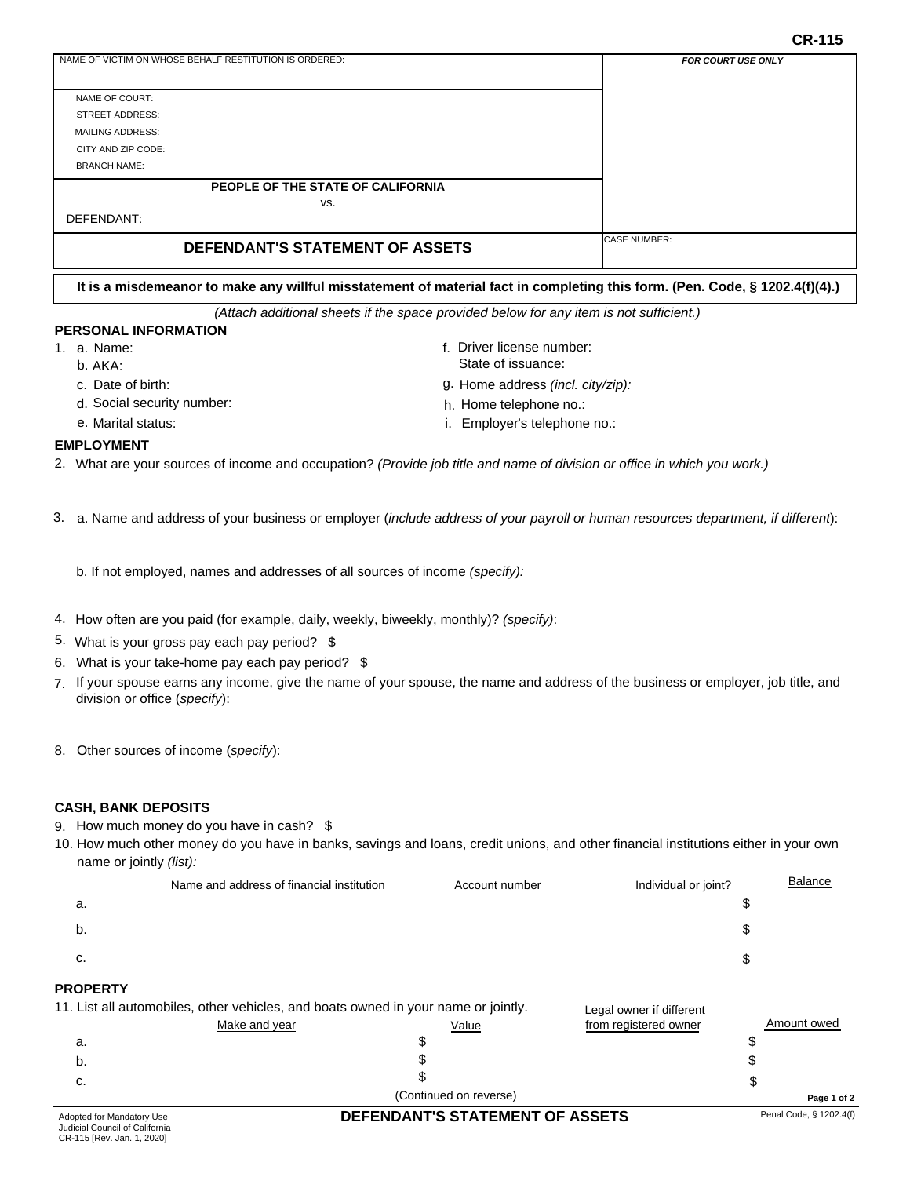**CR-115**

| NAME OF VICTIM ON WHOSE BEHALF RESTITUTION IS ORDERED: | <b>FOR COURT USE ONLY</b> |
|--------------------------------------------------------|---------------------------|
|                                                        |                           |
| NAME OF COURT:                                         |                           |
| <b>STREET ADDRESS:</b>                                 |                           |
| <b>MAILING ADDRESS:</b>                                |                           |
| CITY AND ZIP CODE:                                     |                           |
| <b>BRANCH NAME:</b>                                    |                           |
| PEOPLE OF THE STATE OF CALIFORNIA                      |                           |
| VS.                                                    |                           |
| DEFENDANT:                                             |                           |
| DEFENDANT'S STATEMENT OF ASSETS                        | <b>ICASE NUMBER:</b>      |

**It is a misdemeanor to make any willful misstatement of material fact in completing this form. (Pen. Code, § 1202.4(f)(4).)**

*(Attach additional sheets if the space provided below for any item is not sufficient.)*

### **PERSONAL INFORMATION**

- 1. a. Name: the contract of the contract of the contract of the contract of the contract of the contract of the contract of the contract of the contract of the contract of the contract of the contract of the contract of th
	- b. AKA:
	- c. g. Date of birth:
	- d. Social security number:
	- e. Marital status:

State of issuance: Home address *(incl. city/zip):*

Driver license number:

- h. Home telephone no.:
- i. Employer's telephone no.:

### **EMPLOYMENT**

2. What are your sources of income and occupation? *(Provide job title and name of division or office in which you work.)*

3. a. Name and address of your business or employer (*include address of your payroll or human resources department, if different*):

b. If not employed, names and addresses of all sources of income *(specify):*

- 4. How often are you paid (for example, daily, weekly, biweekly, monthly)? *(specify)*:
- 5. What is your gross pay each pay period? \$
- 6. What is your take-home pay each pay period? \$
- 7. If your spouse earns any income, give the name of your spouse, the name and address of the business or employer, job title, and division or office (*specify*):
- 8. Other sources of income (*specify*):

### **CASH, BANK DEPOSITS**

- 9. How much money do you have in cash? \$
- 10. How much other money do you have in banks, savings and loans, credit unions, and other financial institutions either in your own name or jointly *(list):*

|    | Name and address of financial institution | Account number | Individual or joint? | <b>Balance</b> |
|----|-------------------------------------------|----------------|----------------------|----------------|
| а. |                                           |                |                      |                |
| b. |                                           |                | æ                    |                |
| c. |                                           |                | æ                    |                |
|    |                                           |                |                      |                |

## **PROPERTY**

| حملل سمنعام مملك المتنصف |                                                                                    | DECENDANTIC CTATEMENT OF ACCETC |                          | Penal Code & 1202 4(f) |
|--------------------------|------------------------------------------------------------------------------------|---------------------------------|--------------------------|------------------------|
|                          |                                                                                    | (Continued on reverse)          |                          | Page 1 of 2            |
| С.                       |                                                                                    |                                 |                          |                        |
| b.                       |                                                                                    |                                 |                          |                        |
| a.                       |                                                                                    |                                 |                          |                        |
|                          | Make and year                                                                      | Value                           | from registered owner    | Amount owed            |
|                          | 11. List all automobiles, other vehicles, and boats owned in your name or jointly. |                                 | Legal owner if different |                        |

# Adopted for Mandatory Use **DEFENDANT'S STATEMENT OF ASSETS**